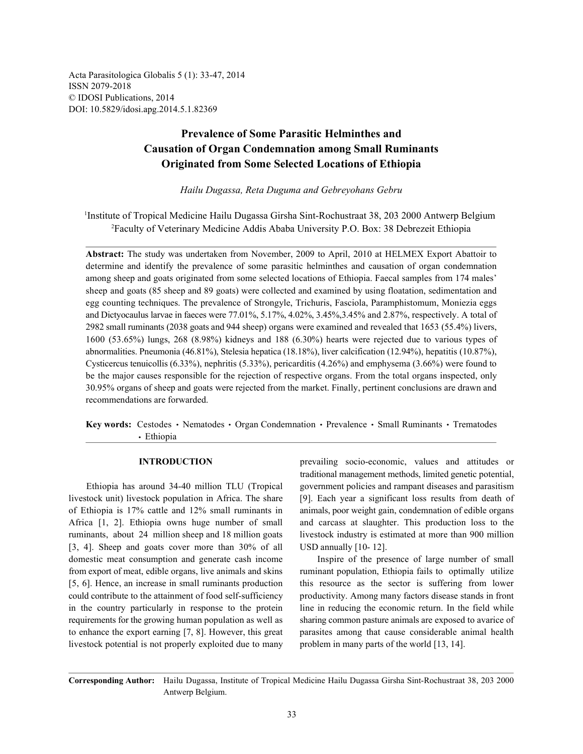Acta Parasitologica Globalis 5 (1): 33-47, 2014 ISSN 2079-2018 © IDOSI Publications, 2014 DOI: 10.5829/idosi.apg.2014.5.1.82369

# **Prevalence of Some Parasitic Helminthes and Causation of Organ Condemnation among Small Ruminants Originated from Some Selected Locations of Ethiopia**

*Hailu Dugassa, Reta Duguma and Gebreyohans Gebru*

Institute of Tropical Medicine Hailu Dugassa Girsha Sint-Rochustraat 38, 203 2000 Antwerp Belgium 1 Faculty of Veterinary Medicine Addis Ababa University P.O. Box: 38 Debrezeit Ethiopia <sup>2</sup>

**Abstract:** The study was undertaken from November, 2009 to April, 2010 at HELMEX Export Abattoir to determine and identify the prevalence of some parasitic helminthes and causation of organ condemnation among sheep and goats originated from some selected locations of Ethiopia. Faecal samples from 174 males' sheep and goats (85 sheep and 89 goats) were collected and examined by using floatation, sedimentation and egg counting techniques. The prevalence of Strongyle, Trichuris, Fasciola, Paramphistomum, Moniezia eggs and Dictyocaulus larvae in faeces were 77.01%, 5.17%, 4.02%, 3.45%,3.45% and 2.87%, respectively. A total of 2982 small ruminants (2038 goats and 944 sheep) organs were examined and revealed that 1653 (55.4%) livers, 1600 (53.65%) lungs, 268 (8.98%) kidneys and 188 (6.30%) hearts were rejected due to various types of abnormalities. Pneumonia (46.81%), Stelesia hepatica (18.18%), liver calcification (12.94%), hepatitis (10.87%), Cysticercus tenuicollis (6.33%), nephritis (5.33%), pericarditis (4.26%) and emphysema (3.66%) were found to be the major causes responsible for the rejection of respective organs. From the total organs inspected, only 30.95% organs of sheep and goats were rejected from the market. Finally, pertinent conclusions are drawn and recommendations are forwarded.

Key words: Cestodes · Nematodes · Organ Condemnation · Prevalence · Small Ruminants · Trematodes Ethiopia

livestock unit) livestock population in Africa. The share [9]. Each year a significant loss results from death of of Ethiopia is 17% cattle and 12% small ruminants in animals, poor weight gain, condemnation of edible organs Africa [1, 2]. Ethiopia owns huge number of small and carcass at slaughter. This production loss to the ruminants, about 24 million sheep and 18 million goats livestock industry is estimated at more than 900 million [3, 4]. Sheep and goats cover more than 30% of all USD annually [10- 12]. domestic meat consumption and generate cash income Inspire of the presence of large number of small from export of meat, edible organs, live animals and skins ruminant population, Ethiopia fails to optimally utilize [5, 6]. Hence, an increase in small ruminants production this resource as the sector is suffering from lower could contribute to the attainment of food self-sufficiency productivity. Among many factors disease stands in front in the country particularly in response to the protein line in reducing the economic return. In the field while requirements for the growing human population as well as sharing common pasture animals are exposed to avarice of to enhance the export earning [7, 8]. However, this great parasites among that cause considerable animal health livestock potential is not properly exploited due to many problem in many parts of the world [13, 14].

**INTRODUCTION** prevailing socio-economic, values and attitudes or Ethiopia has around 34-40 million TLU (Tropical government policies and rampant diseases and parasitism traditional management methods, limited genetic potential,

**Corresponding Author:** Hailu Dugassa, Institute of Tropical Medicine Hailu Dugassa Girsha Sint-Rochustraat 38, 203 2000 Antwerp Belgium.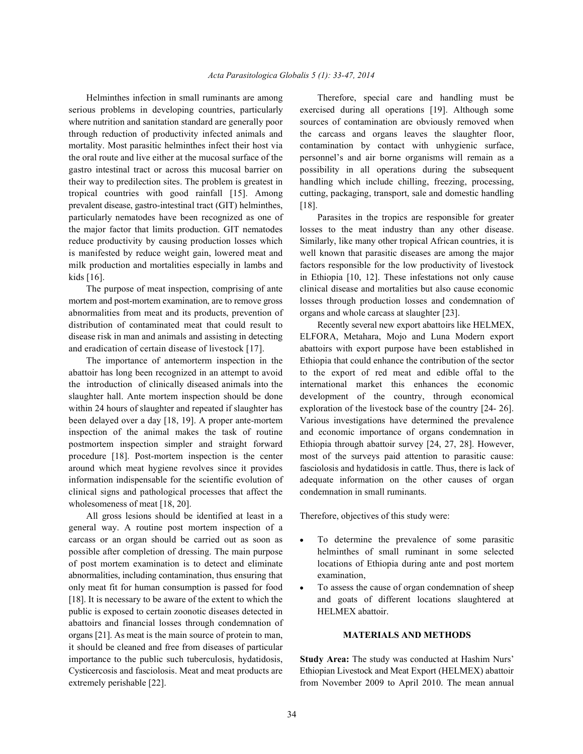serious problems in developing countries, particularly exercised during all operations [19]. Although some where nutrition and sanitation standard are generally poor sources of contamination are obviously removed when through reduction of productivity infected animals and the carcass and organs leaves the slaughter floor, mortality. Most parasitic helminthes infect their host via contamination by contact with unhygienic surface, the oral route and live either at the mucosal surface of the personnel's and air borne organisms will remain as a gastro intestinal tract or across this mucosal barrier on possibility in all operations during the subsequent their way to predilection sites. The problem is greatest in handling which include chilling, freezing, processing, tropical countries with good rainfall [15]. Among cutting, packaging, transport, sale and domestic handling prevalent disease, gastro-intestinal tract (GIT) helminthes, [18]. particularly nematodes have been recognized as one of Parasites in the tropics are responsible for greater the major factor that limits production. GIT nematodes losses to the meat industry than any other disease. reduce productivity by causing production losses which Similarly, like many other tropical African countries, it is is manifested by reduce weight gain, lowered meat and well known that parasitic diseases are among the major milk production and mortalities especially in lambs and factors responsible for the low productivity of livestock kids [16]. in Ethiopia [10, 12]. These infestations not only cause

mortem and post-mortem examination, are to remove gross losses through production losses and condemnation of abnormalities from meat and its products, prevention of organs and whole carcass at slaughter [23]. distribution of contaminated meat that could result to Recently several new export abattoirs like HELMEX, and eradication of certain disease of livestock [17]. abattoirs with export purpose have been established in

abattoir has long been recognized in an attempt to avoid to the export of red meat and edible offal to the the introduction of clinically diseased animals into the international market this enhances the economic slaughter hall. Ante mortem inspection should be done development of the country, through economical within 24 hours of slaughter and repeated if slaughter has exploration of the livestock base of the country [24- 26]. been delayed over a day [18, 19]. A proper ante-mortem Various investigations have determined the prevalence inspection of the animal makes the task of routine and economic importance of organs condemnation in postmortem inspection simpler and straight forward Ethiopia through abattoir survey [24, 27, 28]. However, procedure [18]. Post-mortem inspection is the center most of the surveys paid attention to parasitic cause: around which meat hygiene revolves since it provides fasciolosis and hydatidosis in cattle. Thus, there is lack of information indispensable for the scientific evolution of adequate information on the other causes of organ clinical signs and pathological processes that affect the condemnation in small ruminants. wholesomeness of meat [18, 20].

All gross lesions should be identified at least in a Therefore, objectives of this study were: general way. A routine post mortem inspection of a carcass or an organ should be carried out as soon as • To determine the prevalence of some parasitic possible after completion of dressing. The main purpose helminthes of small ruminant in some selected of post mortem examination is to detect and eliminate locations of Ethiopia during ante and post mortem abnormalities, including contamination, thus ensuring that examination, only meat fit for human consumption is passed for food  $\bullet$  To assess the cause of organ condemnation of sheep [18]. It is necessary to be aware of the extent to which the and goats of different locations slaughtered at public is exposed to certain zoonotic diseases detected in HELMEX abattoir. abattoirs and financial losses through condemnation of organs [21]. As meat is the main source of protein to man, **MATERIALS AND METHODS** it should be cleaned and free from diseases of particular importance to the public such tuberculosis, hydatidosis, **Study Area:** The study was conducted at Hashim Nurs' Cysticercosis and fasciolosis. Meat and meat products are Ethiopian Livestock and Meat Export (HELMEX) abattoir extremely perishable [22]. from November 2009 to April 2010. The mean annual

Helminthes infection in small ruminants are among Therefore, special care and handling must be

The purpose of meat inspection, comprising of ante clinical disease and mortalities but also cause economic

disease risk in man and animals and assisting in detecting ELFORA, Metahara, Mojo and Luna Modern export The importance of antemorterm inspection in the Ethiopia that could enhance the contribution of the sector

- 
-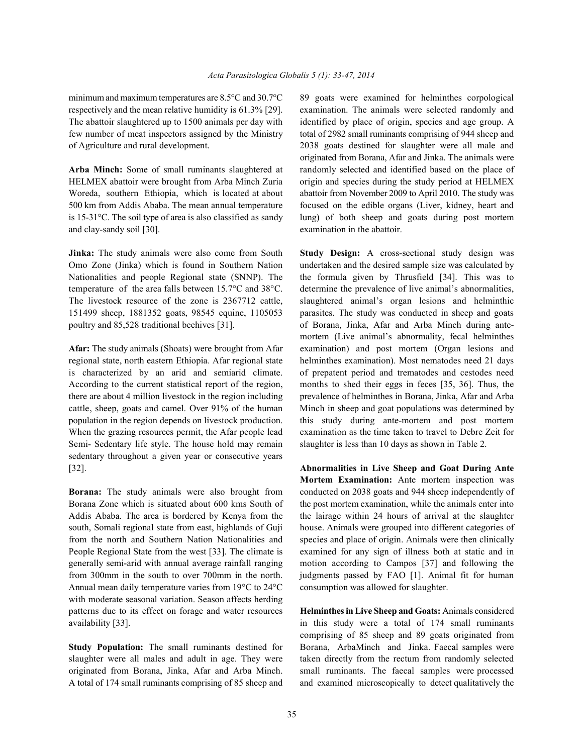HELMEX abattoir were brought from Arba Minch Zuria origin and species during the study period at HELMEX Woreda, southern Ethiopia, which is located at about abattoir from November 2009 to April 2010. The study was 500 km from Addis Ababa. The mean annual temperature focused on the edible organs (Liver, kidney, heart and is 15-31°C. The soil type of area is also classified as sandy lung) of both sheep and goats during post mortem and clay-sandy soil [30]. examination in the abattoir.

**Jinka:** The study animals were also come from South **Study Design:** A cross-sectional study design was Omo Zone (Jinka) which is found in Southern Nation undertaken and the desired sample size was calculated by Nationalities and people Regional state (SNNP). The the formula given by Thrusfield [34]. This was to temperature of the area falls between 15.7°C and 38°C. determine the prevalence of live animal's abnormalities, The livestock resource of the zone is 2367712 cattle, slaughtered animal's organ lesions and helminthic 151499 sheep, 1881352 goats, 98545 equine, 1105053 parasites. The study was conducted in sheep and goats poultry and 85,528 traditional beehives [31]. of Borana, Jinka, Afar and Arba Minch during ante-

Semi- Sedentary life style. The house hold may remain slaughter is less than 10 days as shown in Table 2. sedentary throughout a given year or consecutive years [32]. **Abnormalities in Live Sheep and Goat During Ante**

Annual mean daily temperature varies from  $19^{\circ}$ C to  $24^{\circ}$ C consumption was allowed for slaughter. with moderate seasonal variation. Season affects herding patterns due to its effect on forage and water resources **Helminthes in Live Sheep and Goats:** Animals considered availability [33]. This study were a total of 174 small ruminants

minimum and maximum temperatures are 8.5°C and 30.7°C 89 goats were examined for helminthes corpological respectively and the mean relative humidity is 61.3% [29]. examination. The animals were selected randomly and The abattoir slaughtered up to 1500 animals per day with identified by place of origin, species and age group. A few number of meat inspectors assigned by the Ministry total of 2982 small ruminants comprising of 944 sheep and of Agriculture and rural development. 2038 goats destined for slaughter were all male and Arba Minch: Some of small ruminants slaughtered at randomly selected and identified based on the place of originated from Borana, Afar and Jinka. The animals were

**Afar:** The study animals (Shoats) were brought from Afar examination) and post mortem (Organ lesions and regional state, north eastern Ethiopia. Afar regional state helminthes examination). Most nematodes need 21 days is characterized by an arid and semiarid climate. of prepatent period and trematodes and cestodes need According to the current statistical report of the region, months to shed their eggs in feces [35, 36]. Thus, the there are about 4 million livestock in the region including prevalence of helminthes in Borana, Jinka, Afar and Arba cattle, sheep, goats and camel. Over 91% of the human Minch in sheep and goat populations was determined by population in the region depends on livestock production. this study during ante-mortem and post mortem When the grazing resources permit, the Afar people lead examination as the time taken to travel to Debre Zeit for mortem (Live animal's abnormality, fecal helminthes

**Borana:** The study animals were also brought from conducted on 2038 goats and 944 sheep independently of Borana Zone which is situated about 600 kms South of the post mortem examination, while the animals enter into Addis Ababa. The area is bordered by Kenya from the the lairage within 24 hours of arrival at the slaughter south, Somali regional state from east, highlands of Guji house. Animals were grouped into different categories of from the north and Southern Nation Nationalities and species and place of origin. Animals were then clinically People Regional State from the west [33]. The climate is examined for any sign of illness both at static and in generally semi-arid with annual average rainfall ranging motion according to Campos [37] and following the from 300mm in the south to over 700mm in the north. judgments passed by FAO [1]. Animal fit for human **Mortem Examination:** Ante mortem inspection was

**Study Population:** The small ruminants destined for Borana, ArbaMinch and Jinka. Faecal samples were slaughter were all males and adult in age. They were taken directly from the rectum from randomly selected originated from Borana, Jinka, Afar and Arba Minch. small ruminants. The faecal samples were processed A total of 174 small ruminants comprising of 85 sheep and and examined microscopically to detect qualitatively the comprising of 85 sheep and 89 goats originated from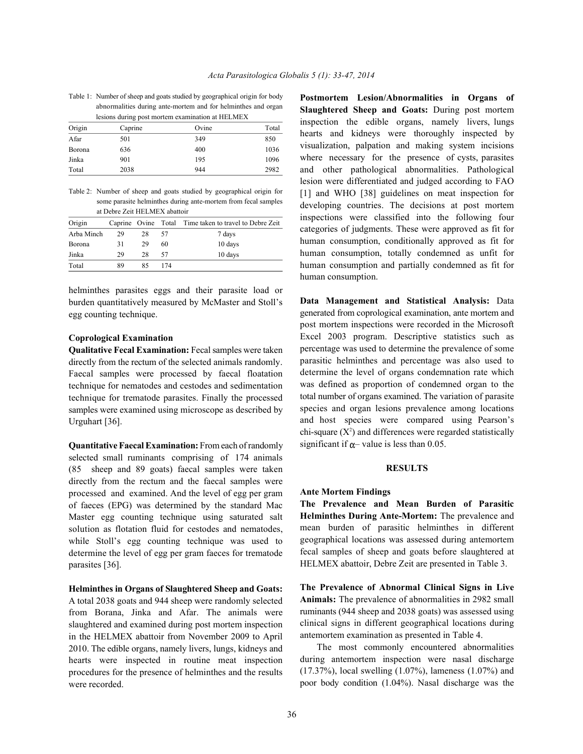Table 1: Number of sheep and goats studied by geographical origin for body abnormalities during ante-mortem and for helminthes and organ

| lesions during post mortem examination at HELMEX |         |       |       |  |  |
|--------------------------------------------------|---------|-------|-------|--|--|
| Origin                                           | Caprine | Ovine | Total |  |  |
| Afar                                             | 501     | 349   | 850   |  |  |
| Borona                                           | 636     | 400   | 1036  |  |  |
| Jinka                                            | 901     | 195   | 1096  |  |  |
| Total                                            | 2038    | 944   | 2982  |  |  |

Table 2: Number of sheep and goats studied by geographical origin for some parasite helminthes during ante-mortem from fecal samples at Debre Zeit HELMEX abattoir

| Origin     |    |    |     | Caprine Ovine Total Time taken to travel to Debre Zeit |
|------------|----|----|-----|--------------------------------------------------------|
| Arba Minch | 29 | 28 | 57  | 7 days                                                 |
| Borona     | 31 | 29 | 60  | 10 days                                                |
| Jinka      | 29 | 28 | 57  | 10 days                                                |
| Total      | 89 | 85 | 174 |                                                        |

helminthes parasites eggs and their parasite load or burden quantitatively measured by McMaster and Stoll's egg counting technique.

### **Coprological Examination**

**Qualitative Fecal Examination:** Fecal samples were taken directly from the rectum of the selected animals randomly. Faecal samples were processed by faecal floatation technique for nematodes and cestodes and sedimentation technique for trematode parasites. Finally the processed samples were examined using microscope as described by Urguhart [36].

**Quantitative Faecal Examination:** From each of randomly selected small ruminants comprising of 174 animals (85 sheep and 89 goats) faecal samples were taken directly from the rectum and the faecal samples were processed and examined. And the level of egg per gram of faeces (EPG) was determined by the standard Mac Master egg counting technique using saturated salt solution as flotation fluid for cestodes and nematodes, while Stoll's egg counting technique was used to determine the level of egg per gram faeces for trematode parasites [36].

**Helminthes in Organs of Slaughtered Sheep and Goats:** A total 2038 goats and 944 sheep were randomly selected from Borana, Jinka and Afar. The animals were slaughtered and examined during post mortem inspection in the HELMEX abattoir from November 2009 to April 2010. The edible organs, namely livers, lungs, kidneys and hearts were inspected in routine meat inspection procedures for the presence of helminthes and the results were recorded.

**Postmortem Lesion/Abnormalities in Organs of Slaughtered Sheep and Goats:** During post mortem inspection the edible organs, namely livers, lungs hearts and kidneys were thoroughly inspected by visualization, palpation and making system incisions where necessary for the presence of cysts, parasites and other pathological abnormalities. Pathological lesion were differentiated and judged according to FAO [1] and WHO [38] guidelines on meat inspection for developing countries. The decisions at post mortem inspections were classified into the following four categories of judgments. These were approved as fit for human consumption, conditionally approved as fit for human consumption, totally condemned as unfit for human consumption and partially condemned as fit for human consumption.

**Data Management and Statistical Analysis:** Data generated from coprological examination, ante mortem and post mortem inspections were recorded in the Microsoft Excel 2003 program. Descriptive statistics such as percentage was used to determine the prevalence of some parasitic helminthes and percentage was also used to determine the level of organs condemnation rate which was defined as proportion of condemned organ to the total number of organs examined. The variation of parasite species and organ lesions prevalence among locations and host species were compared using Pearson's chi-square  $(X^2)$  and differences were regarded statistically significant if  $\alpha$ -value is less than 0.05.

## **RESULTS**

### **Ante Mortem Findings**

**The Prevalence and Mean Burden of Parasitic Helminthes During Ante-Mortem:** The prevalence and mean burden of parasitic helminthes in different geographical locations was assessed during antemortem fecal samples of sheep and goats before slaughtered at HELMEX abattoir, Debre Zeit are presented in Table 3.

**The Prevalence of Abnormal Clinical Signs in Live Animals:** The prevalence of abnormalities in 2982 small ruminants (944 sheep and 2038 goats) was assessed using clinical signs in different geographical locations during antemortem examination as presented in Table 4.

The most commonly encountered abnormalities during antemortem inspection were nasal discharge (17.37%), local swelling (1.07%), lameness (1.07%) and poor body condition (1.04%). Nasal discharge was the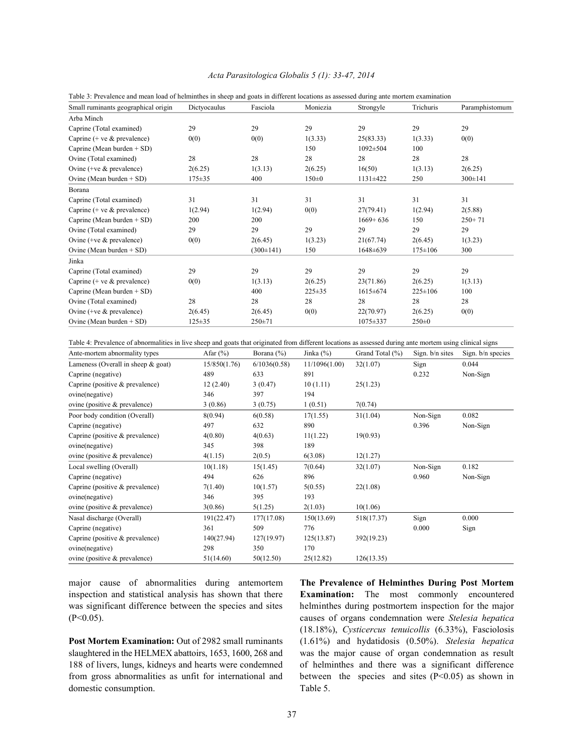| Small ruminants geographical origin | Dictyocaulus | Fasciola      | Moniezia     | Strongyle    | Trichuris     | Paramphistomum |
|-------------------------------------|--------------|---------------|--------------|--------------|---------------|----------------|
| Arba Minch                          |              |               |              |              |               |                |
| Caprine (Total examined)            | 29           | 29            | 29           | 29           | 29            | 29             |
| Caprine (+ ve $\&$ prevalence)      | 0(0)         | 0(0)          | 1(3.33)      | 25(83.33)    | 1(3.33)       | 0(0)           |
| Caprine (Mean burden $+$ SD)        |              |               | 150          | $1092 + 504$ | 100           |                |
| Ovine (Total examined)              | 28           | 28            | 28           | 28           | 28            | 28             |
| Ovine $(+ve &$ prevalence)          | 2(6.25)      | 1(3.13)       | 2(6.25)      | 16(50)       | 1(3.13)       | 2(6.25)        |
| Ovine (Mean burden $+$ SD)          | $175 + 35$   | 400           | $150 \pm 0$  | 1131±422     | 250           | $300 \pm 141$  |
| Borana                              |              |               |              |              |               |                |
| Caprine (Total examined)            | 31           | 31            | 31           | 31           | 31            | 31             |
| Caprine (+ ve $\&$ prevalence)      | 1(2.94)      | 1(2.94)       | 0(0)         | 27(79.41)    | 1(2.94)       | 2(5.88)        |
| Caprine (Mean burden $+$ SD)        | 200          | 200           |              | $1669+636$   | 150           | $250+71$       |
| Ovine (Total examined)              | 29           | 29            | 29           | 29           | 29            | 29             |
| Ovine $(+ve &$ prevalence)          | 0(0)         | 2(6.45)       | 1(3.23)      | 21(67.74)    | 2(6.45)       | 1(3.23)        |
| Ovine (Mean burden + SD)            |              | $(300\pm141)$ | 150          | 1648±639     | $175 \pm 106$ | 300            |
| Jinka                               |              |               |              |              |               |                |
| Caprine (Total examined)            | 29           | 29            | 29           | 29           | 29            | 29             |
| Caprine (+ $ve &$ prevalence)       | 0(0)         | 1(3.13)       | 2(6.25)      | 23(71.86)    | 2(6.25)       | 1(3.13)        |
| Caprine (Mean burden $+$ SD)        |              | 400           | $225 \pm 35$ | 1615±674     | $225 \pm 106$ | 100            |
| Ovine (Total examined)              | 28           | 28            | 28           | 28           | 28            | 28             |
| Ovine $(+ve &$ prevalence)          | 2(6.45)      | 2(6.45)       | 0(0)         | 22(70.97)    | 2(6.25)       | 0(0)           |
| Ovine (Mean burden $+$ SD)          | $125 + 35$   | $250 + 71$    |              | 1075±337     | $250 \pm 0$   |                |

### *Acta Parasitologica Globalis 5 (1): 33-47, 2014*

Table 3: Prevalence and mean load of helminthes in sheep and goats in different locations as assessed during ante mortem examination

Table 4: Prevalence of abnormalities in live sheep and goats that originated from different locations as assessed during ante mortem using clinical signs

| Ante-mortem abnormality types         | Afar $(\% )$ | Borana $(\% )$ | Jinka $(\%)$  | Grand Total (%) | Sign. b/n sites | Sign. $b/n$ species |
|---------------------------------------|--------------|----------------|---------------|-----------------|-----------------|---------------------|
| Lameness (Overall in sheep $\&$ goat) | 15/850(1.76) | 6/1036(0.58)   | 11/1096(1.00) | 32(1.07)        | Sign            | 0.044               |
| Caprine (negative)                    | 489          | 633            | 891           |                 | 0.232           | Non-Sign            |
| Caprine (positive & prevalence)       | 12(2.40)     | 3(0.47)        | 10(1.11)      | 25(1.23)        |                 |                     |
| ovine(negative)                       | 346          | 397            | 194           |                 |                 |                     |
| ovine (positive $&$ prevalence)       | 3(0.86)      | 3(0.75)        | 1(0.51)       | 7(0.74)         |                 |                     |
| Poor body condition (Overall)         | 8(0.94)      | 6(0.58)        | 17(1.55)      | 31(1.04)        | Non-Sign        | 0.082               |
| Caprine (negative)                    | 497          | 632            | 890           |                 | 0.396           | Non-Sign            |
| Caprine (positive $&$ prevalence)     | 4(0.80)      | 4(0.63)        | 11(1.22)      | 19(0.93)        |                 |                     |
| ovine(negative)                       | 345          | 398            | 189           |                 |                 |                     |
| ovine (positive $\&$ prevalence)      | 4(1.15)      | 2(0.5)         | 6(3.08)       | 12(1.27)        |                 |                     |
| Local swelling (Overall)              | 10(1.18)     | 15(1.45)       | 7(0.64)       | 32(1.07)        | Non-Sign        | 0.182               |
| Caprine (negative)                    | 494          | 626            | 896           |                 | 0.960           | Non-Sign            |
| Caprine (positive $&$ prevalence)     | 7(1.40)      | 10(1.57)       | 5(0.55)       | 22(1.08)        |                 |                     |
| ovine(negative)                       | 346          | 395            | 193           |                 |                 |                     |
| ovine (positive $\&$ prevalence)      | 3(0.86)      | 5(1.25)        | 2(1.03)       | 10(1.06)        |                 |                     |
| Nasal discharge (Overall)             | 191(22.47)   | 177(17.08)     | 150(13.69)    | 518(17.37)      | Sign            | 0.000               |
| Caprine (negative)                    | 361          | 509            | 776           |                 | 0.000           | Sign                |
| Caprine (positive $&$ prevalence)     | 140(27.94)   | 127(19.97)     | 125(13.87)    | 392(19.23)      |                 |                     |
| ovine(negative)                       | 298          | 350            | 170           |                 |                 |                     |
| ovine (positive $\&$ prevalence)      | 51(14.60)    | 50(12.50)      | 25(12.82)     | 126(13.35)      |                 |                     |

inspection and statistical analysis has shown that there **Examination:** The most commonly encountered was significant difference between the species and sites helminthes during postmortem inspection for the major

slaughtered in the HELMEX abattoirs, 1653, 1600, 268 and was the major cause of organ condemnation as result 188 of livers, lungs, kidneys and hearts were condemned of helminthes and there was a significant difference from gross abnormalities as unfit for international and between the species and sites  $(P<0.05)$  as shown in domestic consumption. Table 5.

major cause of abnormalities during antemortem **The Prevalence of Helminthes During Post Mortem** (P<0.05). causes of organs condemnation were *Stelesia hepatica* **Post Mortem Examination:** Out of 2982 small ruminants (1.61%) and hydatidosis (0.50%). *Stelesia hepatica* (18.18%), *Cysticercus tenuicollis* (6.33%), Fasciolosis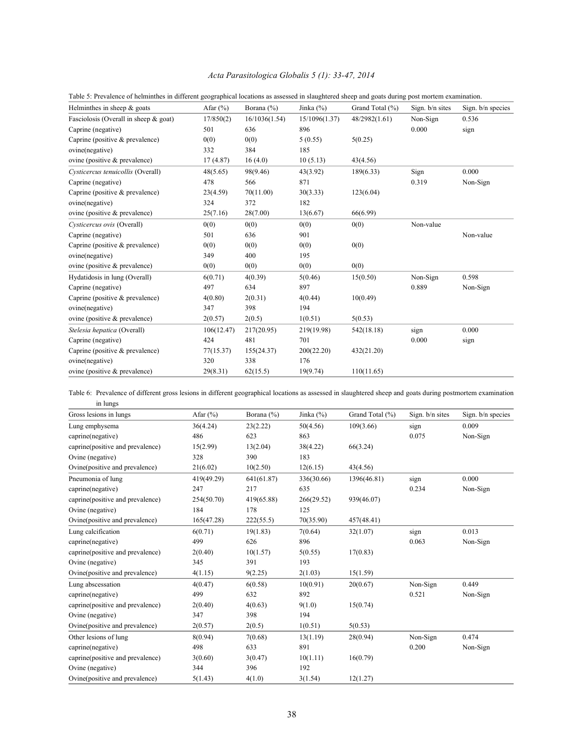| Helminthes in sheep $\&$ goats           | Afar $(\% )$ | Borana (%)    | Jinka $(\%)$  | Grand Total (%) | Sign. b/n sites | Sign. b/n species |
|------------------------------------------|--------------|---------------|---------------|-----------------|-----------------|-------------------|
| Fasciolosis (Overall in sheep $\&$ goat) | 17/850(2)    | 16/1036(1.54) | 15/1096(1.37) | 48/2982(1.61)   | Non-Sign        | 0.536             |
| Caprine (negative)                       | 501          | 636           | 896           |                 | 0.000           | sign              |
| Caprine (positive & prevalence)          | 0(0)         | 0(0)          | 5(0.55)       | 5(0.25)         |                 |                   |
| ovine(negative)                          | 332          | 384           | 185           |                 |                 |                   |
| ovine (positive & prevalence)            | 17(4.87)     | 16(4.0)       | 10(5.13)      | 43(4.56)        |                 |                   |
| Cysticercus tenuicollis (Overall)        | 48(5.65)     | 98(9.46)      | 43(3.92)      | 189(6.33)       | Sign            | 0.000             |
| Caprine (negative)                       | 478          | 566           | 871           |                 | 0.319           | Non-Sign          |
| Caprine (positive & prevalence)          | 23(4.59)     | 70(11.00)     | 30(3.33)      | 123(6.04)       |                 |                   |
| ovine(negative)                          | 324          | 372           | 182           |                 |                 |                   |
| ovine (positive & prevalence)            | 25(7.16)     | 28(7.00)      | 13(6.67)      | 66(6.99)        |                 |                   |
| Cysticercus ovis (Overall)               | 0(0)         | 0(0)          | 0(0)          | 0(0)            | Non-value       |                   |
| Caprine (negative)                       | 501          | 636           | 901           |                 |                 | Non-value         |
| Caprine (positive & prevalence)          | 0(0)         | 0(0)          | 0(0)          | 0(0)            |                 |                   |
| ovine(negative)                          | 349          | 400           | 195           |                 |                 |                   |
| ovine (positive & prevalence)            | 0(0)         | 0(0)          | 0(0)          | 0(0)            |                 |                   |
| Hydatidosis in lung (Overall)            | 6(0.71)      | 4(0.39)       | 5(0.46)       | 15(0.50)        | Non-Sign        | 0.598             |
| Caprine (negative)                       | 497          | 634           | 897           |                 | 0.889           | Non-Sign          |
| Caprine (positive & prevalence)          | 4(0.80)      | 2(0.31)       | 4(0.44)       | 10(0.49)        |                 |                   |
| ovine(negative)                          | 347          | 398           | 194           |                 |                 |                   |
| ovine (positive & prevalence)            | 2(0.57)      | 2(0.5)        | 1(0.51)       | 5(0.53)         |                 |                   |
| Stelesia hepatica (Overall)              | 106(12.47)   | 217(20.95)    | 219(19.98)    | 542(18.18)      | sign            | 0.000             |
| Caprine (negative)                       | 424          | 481           | 701           |                 | 0.000           | sign              |
| Caprine (positive & prevalence)          | 77(15.37)    | 155(24.37)    | 200(22.20)    | 432(21.20)      |                 |                   |
| ovine(negative)                          | 320          | 338           | 176           |                 |                 |                   |
| ovine (positive & prevalence)            | 29(8.31)     | 62(15.5)      | 19(9.74)      | 110(11.65)      |                 |                   |

# *Acta Parasitologica Globalis 5 (1): 33-47, 2014*

| Table 6: Prevalence of different gross lesions in different geographical locations as assessed in slaughtered sheep and goats during postmortem examination |  |
|-------------------------------------------------------------------------------------------------------------------------------------------------------------|--|
| in lungs                                                                                                                                                    |  |

| Gross lesions in lungs           | Afar $(\% )$ | Borana $(\% )$ | Jinka $(%)$ | Grand Total (%) | Sign. b/n sites | Sign. b/n species |
|----------------------------------|--------------|----------------|-------------|-----------------|-----------------|-------------------|
| Lung emphysema                   | 36(4.24)     | 23(2.22)       | 50(4.56)    | 109(3.66)       | sign            | 0.009             |
| caprine(negative)                | 486          | 623            | 863         |                 | 0.075           | Non-Sign          |
| caprine(positive and prevalence) | 15(2.99)     | 13(2.04)       | 38(4.22)    | 66(3.24)        |                 |                   |
| Ovine (negative)                 | 328          | 390            | 183         |                 |                 |                   |
| Ovine(positive and prevalence)   | 21(6.02)     | 10(2.50)       | 12(6.15)    | 43(4.56)        |                 |                   |
| Pneumonia of lung                | 419(49.29)   | 641(61.87)     | 336(30.66)  | 1396(46.81)     | sign            | 0.000             |
| caprine(negative)                | 247          | 217            | 635         |                 | 0.234           | Non-Sign          |
| caprine(positive and prevalence) | 254(50.70)   | 419(65.88)     | 266(29.52)  | 939(46.07)      |                 |                   |
| Ovine (negative)                 | 184          | 178            | 125         |                 |                 |                   |
| Ovine(positive and prevalence)   | 165(47.28)   | 222(55.5)      | 70(35.90)   | 457(48.41)      |                 |                   |
| Lung calcification               | 6(0.71)      | 19(1.83)       | 7(0.64)     | 32(1.07)        | sign            | 0.013             |
| caprine(negative)                | 499          | 626            | 896         |                 | 0.063           | Non-Sign          |
| caprine(positive and prevalence) | 2(0.40)      | 10(1.57)       | 5(0.55)     | 17(0.83)        |                 |                   |
| Ovine (negative)                 | 345          | 391            | 193         |                 |                 |                   |
| Ovine(positive and prevalence)   | 4(1.15)      | 9(2.25)        | 2(1.03)     | 15(1.59)        |                 |                   |
| Lung abscessation                | 4(0.47)      | 6(0.58)        | 10(0.91)    | 20(0.67)        | Non-Sign        | 0.449             |
| caprine(negative)                | 499          | 632            | 892         |                 | 0.521           | Non-Sign          |
| caprine(positive and prevalence) | 2(0.40)      | 4(0.63)        | 9(1.0)      | 15(0.74)        |                 |                   |
| Ovine (negative)                 | 347          | 398            | 194         |                 |                 |                   |
| Ovine(positive and prevalence)   | 2(0.57)      | 2(0.5)         | 1(0.51)     | 5(0.53)         |                 |                   |
| Other lesions of lung            | 8(0.94)      | 7(0.68)        | 13(1.19)    | 28(0.94)        | Non-Sign        | 0.474             |
| caprine(negative)                | 498          | 633            | 891         |                 | 0.200           | Non-Sign          |
| caprine(positive and prevalence) | 3(0.60)      | 3(0.47)        | 10(1.11)    | 16(0.79)        |                 |                   |
| Ovine (negative)                 | 344          | 396            | 192         |                 |                 |                   |
| Ovine(positive and prevalence)   | 5(1.43)      | 4(1.0)         | 3(1.54)     | 12(1.27)        |                 |                   |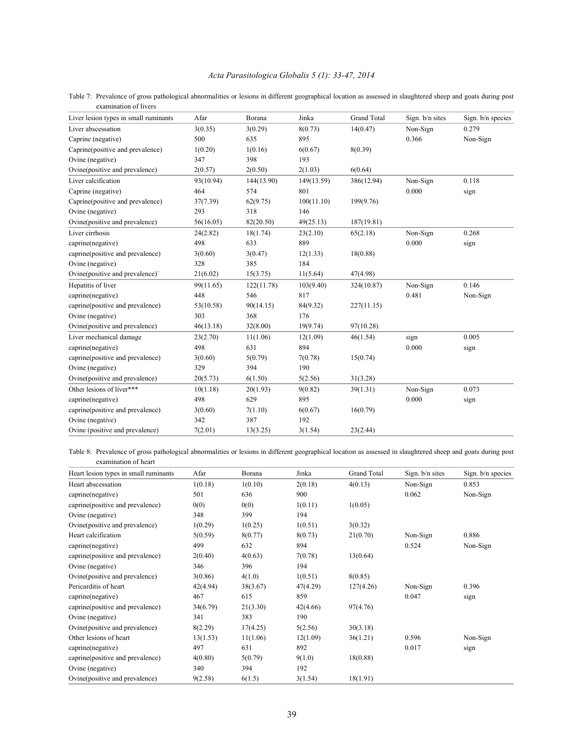## *Acta Parasitologica Globalis 5 (1): 33-47, 2014*

| Liver lesion types in small ruminants | Afar      | Borana     | Jinka      | <b>Grand Total</b> | Sign. b/n sites | Sign. b/n species |
|---------------------------------------|-----------|------------|------------|--------------------|-----------------|-------------------|
| Liver abscessation                    | 3(0.35)   | 3(0.29)    | 8(0.73)    | 14(0.47)           | Non-Sign        | 0.279             |
| Caprine (negative)                    | 500       | 635        | 895        |                    | 0.366           | Non-Sign          |
| Caprine(positive and prevalence)      | 1(0.20)   | 1(0.16)    | 6(0.67)    | 8(0.39)            |                 |                   |
| Ovine (negative)                      | 347       | 398        | 193        |                    |                 |                   |
| Ovine(positive and prevalence)        | 2(0.57)   | 2(0.50)    | 2(1.03)    | 6(0.64)            |                 |                   |
| Liver calcification                   | 93(10.94) | 144(13.90) | 149(13.59) | 386(12.94)         | Non-Sign        | 0.118             |
| Caprine (negative)                    | 464       | 574        | 801        |                    | 0.000           | sign              |
| Caprine(positive and prevalence)      | 37(7.39)  | 62(9.75)   | 100(11.10) | 199(9.76)          |                 |                   |
| Ovine (negative)                      | 293       | 318        | 146        |                    |                 |                   |
| Ovine(positive and prevalence)        | 56(16.05) | 82(20.50)  | 49(25.13)  | 187(19.81)         |                 |                   |
| Liver cirrhosis                       | 24(2.82)  | 18(1.74)   | 23(2.10)   | 65(2.18)           | Non-Sign        | 0.268             |
| caprine(negative)                     | 498       | 633        | 889        |                    | 0.000           | sign              |
| caprine(positive and prevalence)      | 3(0.60)   | 3(0.47)    | 12(1.33)   | 18(0.88)           |                 |                   |
| Ovine (negative)                      | 328       | 385        | 184        |                    |                 |                   |
| Ovine(positive and prevalence)`       | 21(6.02)  | 15(3.75)   | 11(5.64)   | 47(4.98)           |                 |                   |
| Hepatitis of liver                    | 99(11.65) | 122(11.78) | 103(9.40)  | 324(10.87)         | Non-Sign        | 0.146             |
| caprine(negative)                     | 448       | 546        | 817        |                    | 0.481           | Non-Sign          |
| caprine(positive and prevalence)      | 53(10.58) | 90(14.15)  | 84(9.32)   | 227(11.15)         |                 |                   |
| Ovine (negative)                      | 303       | 368        | 176        |                    |                 |                   |
| Ovine(positive and prevalence)        | 46(13.18) | 32(8.00)   | 19(9.74)   | 97(10.28)          |                 |                   |
| Liver mechanical damage               | 23(2.70)  | 11(1.06)   | 12(1.09)   | 46(1.54)           | sign            | 0.005             |
| caprine(negative)                     | 498       | 631        | 894        |                    | 0.000           | sign              |
| caprine(positive and prevalence)      | 3(0.60)   | 5(0.79)    | 7(0.78)    | 15(0.74)           |                 |                   |
| Ovine (negative)                      | 329       | 394        | 190        |                    |                 |                   |
| Ovine(positive and prevalence)        | 20(5.73)  | 6(1.50)    | 5(2.56)    | 31(3.28)           |                 |                   |
| Other lesions of liver***             | 10(1.18)  | 20(1.93)   | 9(0.82)    | 39(1.31)           | Non-Sign        | 0.073             |
| caprine(negative)                     | 498       | 629        | 895        |                    | 0.000           | sign              |
| caprine(positive and prevalence)      | 3(0.60)   | 7(1.10)    | 6(0.67)    | 16(0.79)           |                 |                   |
| Ovine (negative)                      | 342       | 387        | 192        |                    |                 |                   |
| Ovine (positive and prevalence)       | 7(2.01)   | 13(3.25)   | 3(1.54)    | 23(2.44)           |                 |                   |

Table 7: Prevalence of gross pathological abnormalities or lesions in different geographical location as assessed in slaughtered sheep and goats during post examination of livers

Table 8: Prevalence of gross pathological abnormalities or lesions in different geographical location as assessed in slaughtered sheep and goats during post examination of heart

| Heart lesion types in small ruminants | Afar     | Borana   | Jinka    | <b>Grand Total</b> | Sign. $b/n$ sites | Sign. $b/n$ species |
|---------------------------------------|----------|----------|----------|--------------------|-------------------|---------------------|
| Heart abscessation                    | 1(0.18)  | 1(0.10)  | 2(0.18)  | 4(0.13)            | Non-Sign          | 0.853               |
| caprine(negative)                     | 501      | 636      | 900      |                    | 0.062             | Non-Sign            |
| caprine(positive and prevalence)      | 0(0)     | 0(0)     | 1(0.11)  | 1(0.05)            |                   |                     |
| Ovine (negative)                      | 348      | 399      | 194      |                    |                   |                     |
| Ovine(positive and prevalence)        | 1(0.29)  | 1(0.25)  | 1(0.51)  | 3(0.32)            |                   |                     |
| Heart calcification                   | 5(0.59)  | 8(0.77)  | 8(0.73)  | 21(0.70)           | Non-Sign          | 0.886               |
| caprine(negative)                     | 499      | 632      | 894      |                    | 0.524             | Non-Sign            |
| caprine(positive and prevalence)      | 2(0.40)  | 4(0.63)  | 7(0.78)  | 13(0.64)           |                   |                     |
| Ovine (negative)                      | 346      | 396      | 194      |                    |                   |                     |
| Ovine(positive and prevalence)        | 3(0.86)  | 4(1.0)   | 1(0.51)  | 8(0.85)            |                   |                     |
| Pericarditis of heart                 | 42(4.94) | 38(3.67) | 47(4.29) | 127(4.26)          | Non-Sign          | 0.396               |
| caprine(negative)                     | 467      | 615      | 859      |                    | 0.047             | sign                |
| caprine(positive and prevalence)      | 34(6.79) | 21(3.30) | 42(4.66) | 97(4.76)           |                   |                     |
| Ovine (negative)                      | 341      | 383      | 190      |                    |                   |                     |
| Ovine(positive and prevalence)        | 8(2.29)  | 17(4.25) | 5(2.56)  | 30(3.18)           |                   |                     |
| Other lesions of heart                | 13(1.53) | 11(1.06) | 12(1.09) | 36(1.21)           | 0.596             | Non-Sign            |
| caprine(negative)                     | 497      | 631      | 892      |                    | 0.017             | sign                |
| caprine(positive and prevalence)      | 4(0.80)  | 5(0.79)  | 9(1.0)   | 18(0.88)           |                   |                     |
| Ovine (negative)                      | 340      | 394      | 192      |                    |                   |                     |
| Ovine(positive and prevalence)        | 9(2.58)  | 6(1.5)   | 3(1.54)  | 18(1.91)           |                   |                     |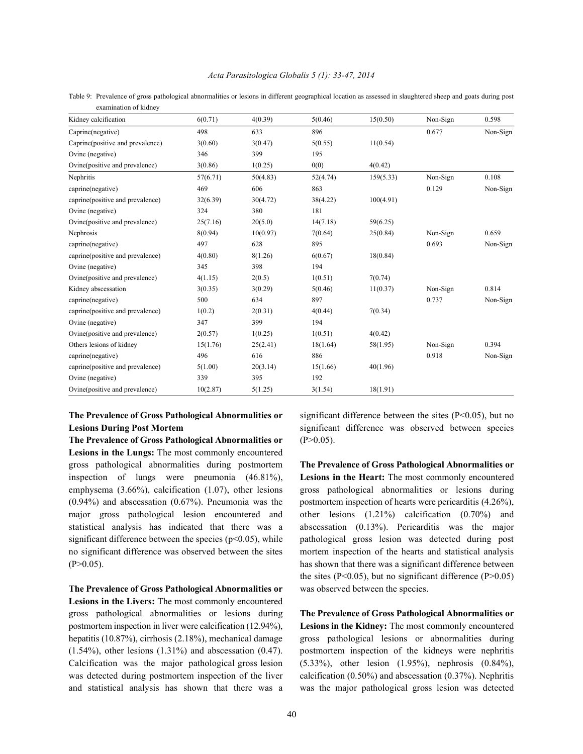| examination of kidney            |          |          |          |           |          |          |
|----------------------------------|----------|----------|----------|-----------|----------|----------|
| Kidney calcification             | 6(0.71)  | 4(0.39)  | 5(0.46)  | 15(0.50)  | Non-Sign | 0.598    |
| Caprine(negative)                | 498      | 633      | 896      |           | 0.677    | Non-Sign |
| Caprine(positive and prevalence) | 3(0.60)  | 3(0.47)  | 5(0.55)  | 11(0.54)  |          |          |
| Ovine (negative)                 | 346      | 399      | 195      |           |          |          |
| Ovine(positive and prevalence)   | 3(0.86)  | 1(0.25)  | 0(0)     | 4(0.42)   |          |          |
| Nephritis                        | 57(6.71) | 50(4.83) | 52(4.74) | 159(5.33) | Non-Sign | 0.108    |
| caprine(negative)                | 469      | 606      | 863      |           | 0.129    | Non-Sign |
| caprine(positive and prevalence) | 32(6.39) | 30(4.72) | 38(4.22) | 100(4.91) |          |          |
| Ovine (negative)                 | 324      | 380      | 181      |           |          |          |
| Ovine(positive and prevalence)   | 25(7.16) | 20(5.0)  | 14(7.18) | 59(6.25)  |          |          |
| Nephrosis                        | 8(0.94)  | 10(0.97) | 7(0.64)  | 25(0.84)  | Non-Sign | 0.659    |
| caprine(negative)                | 497      | 628      | 895      |           | 0.693    | Non-Sign |
| caprine(positive and prevalence) | 4(0.80)  | 8(1.26)  | 6(0.67)  | 18(0.84)  |          |          |
| Ovine (negative)                 | 345      | 398      | 194      |           |          |          |
| Ovine(positive and prevalence)   | 4(1.15)  | 2(0.5)   | 1(0.51)  | 7(0.74)   |          |          |
| Kidney abscessation              | 3(0.35)  | 3(0.29)  | 5(0.46)  | 11(0.37)  | Non-Sign | 0.814    |
| caprine(negative)                | 500      | 634      | 897      |           | 0.737    | Non-Sign |
| caprine(positive and prevalence) | 1(0.2)   | 2(0.31)  | 4(0.44)  | 7(0.34)   |          |          |
| Ovine (negative)                 | 347      | 399      | 194      |           |          |          |
| Ovine(positive and prevalence)   | 2(0.57)  | 1(0.25)  | 1(0.51)  | 4(0.42)   |          |          |
| Others lesions of kidney         | 15(1.76) | 25(2.41) | 18(1.64) | 58(1.95)  | Non-Sign | 0.394    |
| caprine(negative)                | 496      | 616      | 886      |           | 0.918    | Non-Sign |
| caprine(positive and prevalence) | 5(1.00)  | 20(3.14) | 15(1.66) | 40(1.96)  |          |          |
| Ovine (negative)                 | 339      | 395      | 192      |           |          |          |
| Ovine(positive and prevalence)   | 10(2.87) | 5(1.25)  | 3(1.54)  | 18(1.91)  |          |          |

*Acta Parasitologica Globalis 5 (1): 33-47, 2014*

Table 9: Prevalence of gross pathological abnormalities or lesions in different geographical location as assessed in slaughtered sheep and goats during post examination of kidney

# **The Prevalence of Gross Pathological Abnormalities or** significant difference between the sites (P<0.05), but no **Lesions During Post Mortem** significant difference was observed between species

**The Prevalence of Gross Pathological Abnormalities or** (P>0.05). **Lesions in the Lungs:** The most commonly encountered gross pathological abnormalities during postmortem **The Prevalence of Gross Pathological Abnormalities or** inspection of lungs were pneumonia (46.81%), **Lesions in the Heart:** The most commonly encountered emphysema (3.66%), calcification (1.07), other lesions gross pathological abnormalities or lesions during  $(0.94\%)$  and abscessation  $(0.67\%)$ . Pneumonia was the postmortem inspection of hearts were pericarditis  $(4.26\%)$ , major gross pathological lesion encountered and other lesions (1.21%) calcification (0.70%) and statistical analysis has indicated that there was a abscessation (0.13%). Pericarditis was the major significant difference between the species ( $p<0.05$ ), while pathological gross lesion was detected during post no significant difference was observed between the sites mortem inspection of the hearts and statistical analysis (P>0.05). has shown that there was a significant difference between

**The Prevalence of Gross Pathological Abnormalities or** was observed between the species. **Lesions in the Livers:** The most commonly encountered gross pathological abnormalities or lesions during **The Prevalence of Gross Pathological Abnormalities or** postmortem inspection in liver were calcification (12.94%), **Lesions in the Kidney:** The most commonly encountered hepatitis (10.87%), cirrhosis (2.18%), mechanical damage gross pathological lesions or abnormalities during (1.54%), other lesions (1.31%) and abscessation (0.47). postmortem inspection of the kidneys were nephritis Calcification was the major pathological gross lesion (5.33%), other lesion (1.95%), nephrosis (0.84%), was detected during postmortem inspection of the liver calcification  $(0.50\%)$  and abscessation  $(0.37\%)$ . Nephritis and statistical analysis has shown that there was a was the major pathological gross lesion was detected

the sites ( $P<0.05$ ), but no significant difference ( $P>0.05$ )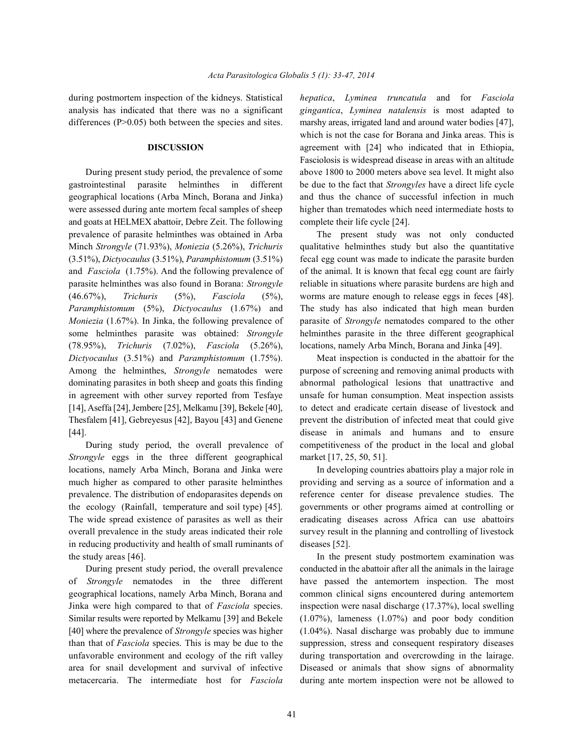analysis has indicated that there was no a significant *gingantica*, *Lyminea natalensis* is most adapted to differences (P>0.05) both between the species and sites. marshy areas, irrigated land and around water bodies [47],

gastrointestinal parasite helminthes in different be due to the fact that *Strongyles* have a direct life cycle geographical locations (Arba Minch, Borana and Jinka) and thus the chance of successful infection in much were assessed during ante mortem fecal samples of sheep higher than trematodes which need intermediate hosts to and goats at HELMEX abattoir, Debre Zeit. The following complete their life cycle [24]. prevalence of parasite helminthes was obtained in Arba The present study was not only conducted Minch *Strongyle* (71.93%), *Moniezia* (5.26%), *Trichuris* qualitative helminthes study but also the quantitative (3.51%), *Dictyocaulus* (3.51%), *Paramphistomum* (3.51%) fecal egg count was made to indicate the parasite burden and *Fasciola* (1.75%). And the following prevalence of of the animal. It is known that fecal egg count are fairly parasite helminthes was also found in Borana: *Strongyle* reliable in situations where parasite burdens are high and (46.67%), *Trichuris* (5%), *Fasciola* (5%), worms are mature enough to release eggs in feces [48]. *Paramphistomum* (5%), *Dictyocaulus* (1.67%) and The study has also indicated that high mean burden *Moniezia* (1.67%). In Jinka, the following prevalence of parasite of *Strongyle* nematodes compared to the other some helminthes parasite was obtained: *Strongyle* helminthes parasite in the three different geographical (78.95%), *Trichuris* (7.02%), *Fasciola* (5.26%), locations, namely Arba Minch, Borana and Jinka [49]. *Dictyocaulus* (3.51%) and *Paramphistomum* (1.75%). Meat inspection is conducted in the abattoir for the Among the helminthes, *Strongyle* nematodes were purpose of screening and removing animal products with dominating parasites in both sheep and goats this finding abnormal pathological lesions that unattractive and in agreement with other survey reported from Tesfaye unsafe for human consumption. Meat inspection assists [14], Aseffa [24], Jembere [25], Melkamu [39], Bekele [40], to detect and eradicate certain disease of livestock and Thesfalem [41], Gebreyesus [42], Bayou [43] and Genene prevent the distribution of infected meat that could give [44]. disease in animals and humans and to ensure

*Strongyle* eggs in the three different geographical market [17, 25, 50, 51]. locations, namely Arba Minch, Borana and Jinka were In developing countries abattoirs play a major role in much higher as compared to other parasite helminthes providing and serving as a source of information and a prevalence. The distribution of endoparasites depends on reference center for disease prevalence studies. The the ecology (Rainfall, temperature and soil type) [45]. governments or other programs aimed at controlling or The wide spread existence of parasites as well as their eradicating diseases across Africa can use abattoirs overall prevalence in the study areas indicated their role survey result in the planning and controlling of livestock in reducing productivity and health of small ruminants of diseases [52]. the study areas [46]. In the present study postmortem examination was

of *Strongyle* nematodes in the three different have passed the antemortem inspection. The most geographical locations, namely Arba Minch, Borana and common clinical signs encountered during antemortem Jinka were high compared to that of *Fasciola* species. inspection were nasal discharge (17.37%), local swelling Similar results were reported by Melkamu [39] and Bekele (1.07%), lameness (1.07%) and poor body condition [40] where the prevalence of *Strongyle* species was higher (1.04%). Nasal discharge was probably due to immune than that of *Fasciola* species. This is may be due to the suppression, stress and consequent respiratory diseases unfavorable environment and ecology of the rift valley during transportation and overcrowding in the lairage. area for snail development and survival of infective Diseased or animals that show signs of abnormality metacercaria. The intermediate host for *Fasciola* during ante mortem inspection were not be allowed to

during postmortem inspection of the kidneys. Statistical *hepatica*, *Lyminea truncatula* and for *Fasciola* **DISCUSSION** agreement with [24] who indicated that in Ethiopia, During present study period, the prevalence of some above 1800 to 2000 meters above sea level. It might also which is not the case for Borana and Jinka areas. This is Fasciolosis is widespread disease in areas with an altitude

During study period, the overall prevalence of competitiveness of the product in the local and global

During present study period, the overall prevalence conducted in the abattoir after all the animals in the lairage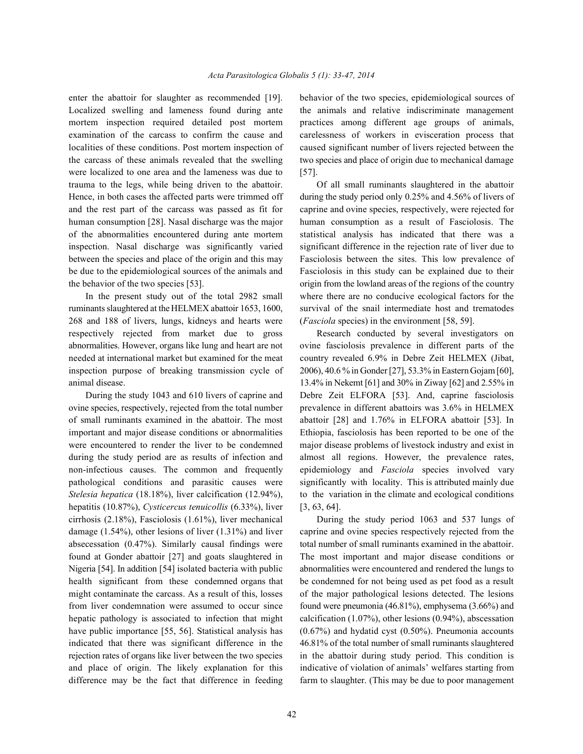Localized swelling and lameness found during ante the animals and relative indiscriminate management mortem inspection required detailed post mortem practices among different age groups of animals, examination of the carcass to confirm the cause and carelessness of workers in evisceration process that localities of these conditions. Post mortem inspection of caused significant number of livers rejected between the the carcass of these animals revealed that the swelling two species and place of origin due to mechanical damage were localized to one area and the lameness was due to [57]. trauma to the legs, while being driven to the abattoir. Of all small ruminants slaughtered in the abattoir Hence, in both cases the affected parts were trimmed off during the study period only 0.25% and 4.56% of livers of and the rest part of the carcass was passed as fit for caprine and ovine species, respectively, were rejected for human consumption [28]. Nasal discharge was the major human consumption as a result of Fasciolosis. The of the abnormalities encountered during ante mortem statistical analysis has indicated that there was a inspection. Nasal discharge was significantly varied significant difference in the rejection rate of liver due to between the species and place of the origin and this may Fasciolosis between the sites. This low prevalence of be due to the epidemiological sources of the animals and Fasciolosis in this study can be explained due to their the behavior of the two species [53]. origin from the lowland areas of the regions of the country

ruminants slaughtered at the HELMEX abattoir 1653, 1600, survival of the snail intermediate host and trematodes 268 and 188 of livers, lungs, kidneys and hearts were (*Fasciola* species) in the environment [58, 59]. respectively rejected from market due to gross Research conducted by several investigators on abnormalities. However, organs like lung and heart are not ovine fasciolosis prevalence in different parts of the needed at international market but examined for the meat country revealed 6.9% in Debre Zeit HELMEX (Jibat, inspection purpose of breaking transmission cycle of 2006), 40.6% in Gonder [27], 53.3% in Eastern Gojam [60], animal disease. 13.4% in Nekemt [61] and 30% in Ziway [62] and 2.55% in

ovine species, respectively, rejected from the total number prevalence in different abattoirs was 3.6% in HELMEX of small ruminants examined in the abattoir. The most abattoir [28] and 1.76% in ELFORA abattoir [53]. In important and major disease conditions or abnormalities Ethiopia, fasciolosis has been reported to be one of the were encountered to render the liver to be condemned major disease problems of livestock industry and exist in during the study period are as results of infection and almost all regions. However, the prevalence rates, non-infectious causes. The common and frequently epidemiology and *Fasciola* species involved vary pathological conditions and parasitic causes were significantly with locality. This is attributed mainly due *Stelesia hepatica* (18.18%), liver calcification (12.94%), to the variation in the climate and ecological conditions hepatitis (10.87%), *Cysticercus tenuicollis* (6.33%), liver [3, 63, 64]. cirrhosis (2.18%), Fasciolosis (1.61%), liver mechanical During the study period 1063 and 537 lungs of damage  $(1.54\%)$ , other lesions of liver  $(1.31\%)$  and liver caprine and ovine species respectively rejected from the absecessation (0.47%). Similarly causal findings were total number of small ruminants examined in the abattoir. found at Gonder abattoir [27] and goats slaughtered in The most important and major disease conditions or Nigeria [54]. In addition [54] isolated bacteria with public abnormalities were encountered and rendered the lungs to health significant from these condemned organs that be condemned for not being used as pet food as a result might contaminate the carcass. As a result of this, losses of the major pathological lesions detected. The lesions from liver condemnation were assumed to occur since found were pneumonia (46.81%), emphysema (3.66%) and hepatic pathology is associated to infection that might calcification  $(1.07\%)$ , other lesions  $(0.94\%)$ , abscessation have public importance [55, 56]. Statistical analysis has (0.67%) and hydatid cyst (0.50%). Pneumonia accounts indicated that there was significant difference in the 46.81% of the total number of small ruminants slaughtered rejection rates of organs like liver between the two species in the abattoir during study period. This condition is and place of origin. The likely explanation for this indicative of violation of animals' welfares starting from difference may be the fact that difference in feeding farm to slaughter. (This may be due to poor management

enter the abattoir for slaughter as recommended [19]. behavior of the two species, epidemiological sources of

In the present study out of the total 2982 small where there are no conducive ecological factors for the

During the study 1043 and 610 livers of caprine and Debre Zeit ELFORA [53]. And, caprine fasciolosis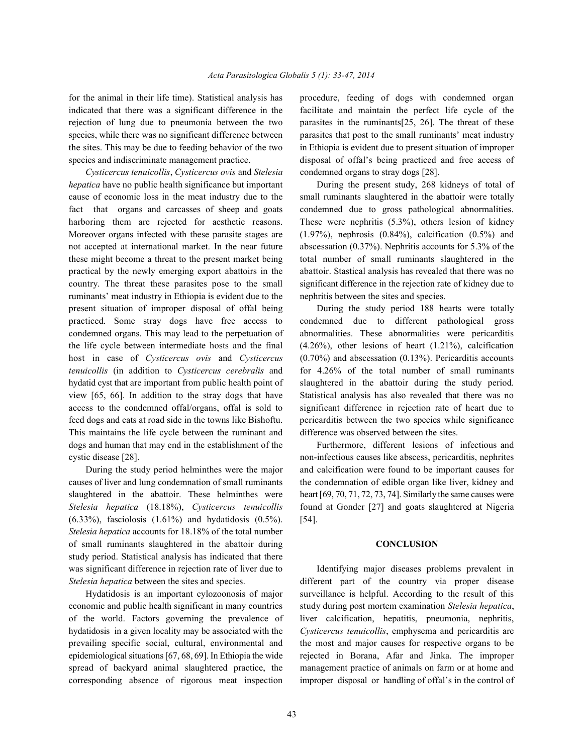*Cysticercus tenuicollis*, *Cysticercus ovis* and *Stelesia* condemned organs to stray dogs [28]. *hepatica* have no public health significance but important During the present study, 268 kidneys of total of cause of economic loss in the meat industry due to the small ruminants slaughtered in the abattoir were totally fact that organs and carcasses of sheep and goats condemned due to gross pathological abnormalities. harboring them are rejected for aesthetic reasons. These were nephritis (5.3%), others lesion of kidney Moreover organs infected with these parasite stages are (1.97%), nephrosis (0.84%), calcification (0.5%) and not accepted at international market. In the near future abscessation (0.37%). Nephritis accounts for 5.3% of the these might become a threat to the present market being total number of small ruminants slaughtered in the practical by the newly emerging export abattoirs in the abattoir. Stastical analysis has revealed that there was no country. The threat these parasites pose to the small significant difference in the rejection rate of kidney due to ruminants' meat industry in Ethiopia is evident due to the nephritis between the sites and species. present situation of improper disposal of offal being During the study period 188 hearts were totally practiced. Some stray dogs have free access to condemned due to different pathological gross condemned organs. This may lead to the perpetuation of abnormalities. These abnormalities were pericarditis the life cycle between intermediate hosts and the final (4.26%), other lesions of heart (1.21%), calcification host in case of *Cysticercus ovis* and *Cysticercus* (0.70%) and abscessation (0.13%). Pericarditis accounts *tenuicollis* (in addition to *Cysticercus cerebralis* and for 4.26% of the total number of small ruminants hydatid cyst that are important from public health point of slaughtered in the abattoir during the study period. view [65, 66]. In addition to the stray dogs that have Statistical analysis has also revealed that there was no access to the condemned offal/organs, offal is sold to significant difference in rejection rate of heart due to feed dogs and cats at road side in the towns like Bishoftu. pericarditis between the two species while significance This maintains the life cycle between the ruminant and difference was observed between the sites. dogs and human that may end in the establishment of the Furthermore, different lesions of infectious and cystic disease [28]. non-infectious causes like abscess, pericarditis, nephrites

causes of liver and lung condemnation of small ruminants the condemnation of edible organ like liver, kidney and slaughtered in the abattoir. These helminthes were heart  $[69, 70, 71, 72, 73, 74]$ . Similarly the same causes were *Stelesia hepatica* (18.18%), *Cysticercus tenuicollis* found at Gonder [27] and goats slaughtered at Nigeria (6.33%), fasciolosis (1.61%) and hydatidosis (0.5%). [54]. *Stelesia hepatica* accounts for 18.18% of the total number of small ruminants slaughtered in the abattoir during **CONCLUSION** study period. Statistical analysis has indicated that there was significant difference in rejection rate of liver due to Identifying major diseases problems prevalent in

of the world. Factors governing the prevalence of liver calcification, hepatitis, pneumonia, nephritis, hydatidosis in a given locality may be associated with the *Cysticercus tenuicollis*, emphysema and pericarditis are prevailing specific social, cultural, environmental and the most and major causes for respective organs to be epidemiological situations [67, 68, 69]. In Ethiopia the wide rejected in Borana, Afar and Jinka. The improper spread of backyard animal slaughtered practice, the management practice of animals on farm or at home and

for the animal in their life time). Statistical analysis has procedure, feeding of dogs with condemned organ indicated that there was a significant difference in the facilitate and maintain the perfect life cycle of the rejection of lung due to pneumonia between the two parasites in the ruminants[25, 26]. The threat of these species, while there was no significant difference between parasites that post to the small ruminants' meat industry the sites. This may be due to feeding behavior of the two in Ethiopia is evident due to present situation of improper species and indiscriminate management practice. disposal of offal's being practiced and free access of

During the study period helminthes were the major and calcification were found to be important causes for

*Stelesia hepatica* between the sites and species. different part of the country via proper disease Hydatidosis is an important cylozoonosis of major surveillance is helpful. According to the result of this economic and public health significant in many countries study during post mortem examination *Stelesia hepatica*, corresponding absence of rigorous meat inspection improper disposal or handling of offal's in the control of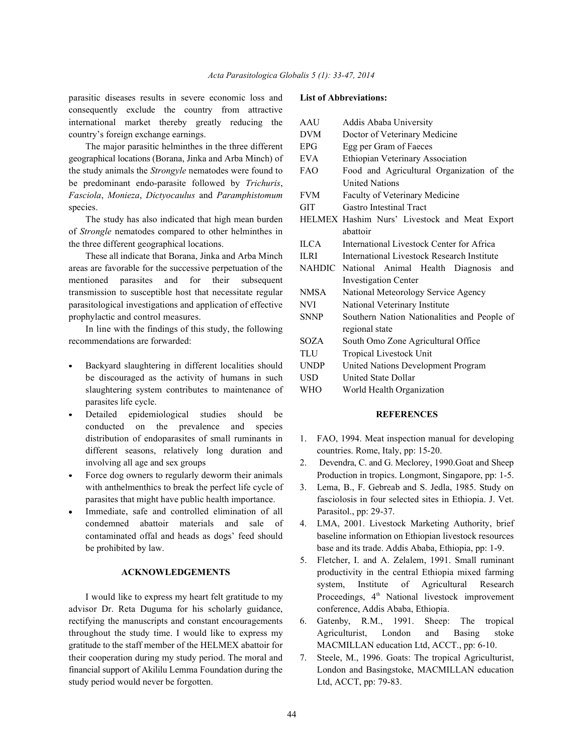parasitic diseases results in severe economic loss and **List of Abbreviations:** consequently exclude the country from attractive international market thereby greatly reducing the country's foreign exchange earnings.

The major parasitic helminthes in the three different geographical locations (Borana, Jinka and Arba Minch) of the study animals the *Strongyle* nematodes were found to be predominant endo-parasite followed by *Trichuris*, *Fasciola, Monieza, Dictyocaulus* and *Paramphistomum* species. GIT Gastro Intestinal Tract

The study has also indicated that high mean burden of *Strongle* nematodes compared to other helminthes in the three different geographical locations.

These all indicate that Borana, Jinka and Arba Minch areas are favorable for the successive perpetuation of the mentioned parasites and for their subsequent transmission to susceptible host that necessitate regular parasitological investigations and application of effective prophylactic and control measures.

In line with the findings of this study, the following recommendations are forwarded:

- Backyard slaughtering in different localities should be discouraged as the activity of humans in such slaughtering system contributes to maintenance of parasites life cycle.
- Detailed epidemiological studies should be **REFERENCES** conducted on the prevalence and species distribution of endoparasites of small ruminants in 1. FAO, 1994. Meat inspection manual for developing different seasons, relatively long duration and countries. Rome, Italy, pp: 15-20. involving all age and sex groups 2. Devendra, C. and G. Meclorey, 1990.Goat and Sheep
- with anthelmenthics to break the perfect life cycle of 3. Lema, B., F. Gebreab and S. Jedla, 1985. Study on
- Immediate, safe and controlled elimination of all Parasitol., pp: 29-37. condemned abattoir materials and sale of 4. LMA, 2001. Livestock Marketing Authority, brief

advisor Dr. Reta Duguma for his scholarly guidance, conference, Addis Ababa, Ethiopia. rectifying the manuscripts and constant encouragements 6. Gatenby, R.M., 1991. Sheep: The tropical gratitude to the staff member of the HELMEX abattoir for MACMILLAN education Ltd, ACCT., pp: 6-10. their cooperation during my study period. The moral and 7. Steele, M., 1996. Goats: The tropical Agriculturist, study period would never be forgotten. Ltd, ACCT, pp: 79-83.

| AAU         | Addis Ababa University                         |  |  |  |  |
|-------------|------------------------------------------------|--|--|--|--|
| <b>DVM</b>  | Doctor of Veterinary Medicine                  |  |  |  |  |
| <b>EPG</b>  | Egg per Gram of Faeces                         |  |  |  |  |
| EVA         | <b>Ethiopian Veterinary Association</b>        |  |  |  |  |
| <b>FAO</b>  | Food and Agricultural Organization of the      |  |  |  |  |
|             | <b>United Nations</b>                          |  |  |  |  |
| <b>FVM</b>  | Faculty of Veterinary Medicine                 |  |  |  |  |
| <b>GIT</b>  | Gastro Intestinal Tract                        |  |  |  |  |
|             | HELMEX Hashim Nurs' Livestock and Meat Export  |  |  |  |  |
|             | abattoir                                       |  |  |  |  |
| <b>ILCA</b> | International Livestock Center for Africa      |  |  |  |  |
| <b>ILRI</b> | International Livestock Research Institute     |  |  |  |  |
|             | NAHDIC National Animal Health Diagnosis<br>and |  |  |  |  |
|             | <b>Investigation Center</b>                    |  |  |  |  |
| <b>NMSA</b> | National Meteorology Service Agency            |  |  |  |  |
| <b>NVI</b>  | National Veterinary Institute                  |  |  |  |  |
| <b>SNNP</b> | Southern Nation Nationalities and People of    |  |  |  |  |
|             | regional state                                 |  |  |  |  |
| SOZA        | South Omo Zone Agricultural Office             |  |  |  |  |
| <b>TLU</b>  | Tropical Livestock Unit                        |  |  |  |  |
| <b>UNDP</b> | United Nations Development Program             |  |  |  |  |
| USD         | <b>United State Dollar</b>                     |  |  |  |  |
| WHO         | World Health Organization                      |  |  |  |  |

- 
- Force dog owners to regularly deworm their animals Production in tropics. Longmont, Singapore, pp: 1-5.
- parasites that might have public health importance. fasciolosis in four selected sites in Ethiopia. J. Vet.
- contaminated offal and heads as dogs' feed should baseline information on Ethiopian livestock resources be prohibited by law. base and its trade. Addis Ababa, Ethiopia, pp: 1-9.
- **ACKNOWLEDGEMENTS** productivity in the central Ethiopia mixed farming I would like to express my heart felt gratitude to my  $\blacksquare$  Proceedings,  $4^{\text{th}}$  National livestock improvement 5. Fletcher, I. and A. Zelalem, 1991. Small ruminant system, Institute of Agricultural Research
- throughout the study time. I would like to express my Agriculturist, London and Basing stoke
- financial support of Akililu Lemma Foundation during the London and Basingstoke, MACMILLAN education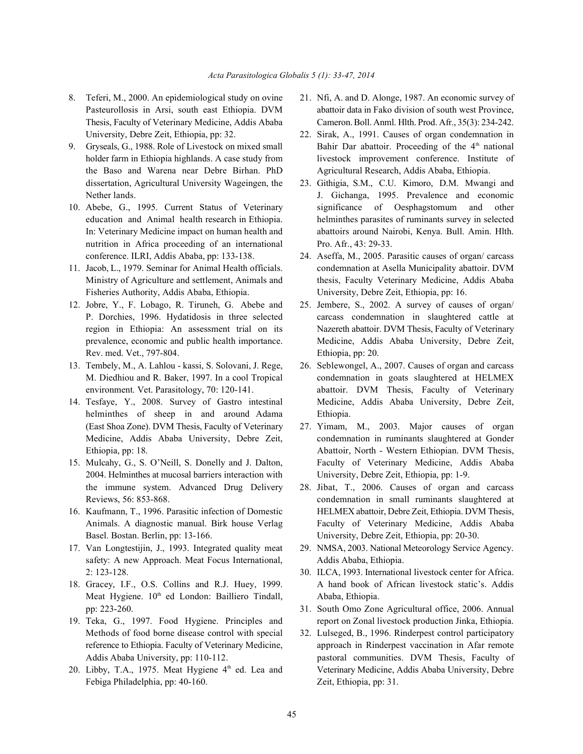- 8. Teferi, M., 2000. An epidemiological study on ovine 21. Nfi, A. and D. Alonge, 1987. An economic survey of University, Debre Zeit, Ethiopia, pp: 32. 22. Sirak, A., 1991. Causes of organ condemnation in
- 9. Gryseals, G., 1988. Role of Livestock on mixed small the Baso and Warena near Debre Birhan. PhD Agricultural Research, Addis Ababa, Ethiopia. dissertation, Agricultural University Wageingen, the 23. Githigia, S.M., C.U. Kimoro, D.M. Mwangi and
- nutrition in Africa proceeding of an international Pro. Afr., 43: 29-33. conference. ILRI, Addis Ababa, pp: 133-138. 24. Aseffa, M., 2005. Parasitic causes of organ/ carcass
- Fisheries Authority, Addis Ababa, Ethiopia. University, Debre Zeit, Ethiopia, pp: 16.
- Rev. med. Vet., 797-804. Ethiopia, pp: 20.
- 
- helminthes of sheep in and around Adama Ethiopia. (East Shoa Zone). DVM Thesis, Faculty of Veterinary 27. Yimam, M., 2003. Major causes of organ
- 2004. Helminthes at mucosal barriers interaction with University, Debre Zeit, Ethiopia, pp: 1-9. the immune system. Advanced Drug Delivery 28. Jibat, T., 2006. Causes of organ and carcass
- Basel. Bostan. Berlin, pp: 13-166. University, Debre Zeit, Ethiopia, pp: 20-30.
- safety: A new Approach. Meat Focus International, Addis Ababa, Ethiopia. 2: 123-128. 30. ILCA, 1993. International livestock center for Africa.
- Meat Hygiene. 10<sup>th</sup> ed London: Bailliero Tindall, Ababa, Ethiopia. pp: 223-260. 31. South Omo Zone Agricultural office, 2006. Annual
- Methods of food borne disease control with special 32. Lulseged, B., 1996. Rinderpest control participatory
- Febiga Philadelphia, pp: 40-160. Zeit, Ethiopia, pp: 31.
- Pasteurollosis in Arsi, south east Ethiopia. DVM abattoir data in Fako division of south west Province, Thesis, Faculty of Veterinary Medicine, Addis Ababa Cameron. Boll. Anml. Hlth. Prod. Afr., 35(3): 234-242.
- holder farm in Ethiopia highlands. A case study from livestock improvement conference. Institute of Bahir Dar abattoir. Proceeding of the 4<sup>th</sup> national
- Nether lands. J. Gichanga, 1995. Prevalence and economic 10. Abebe, G., 1995. Current Status of Veterinary significance of Oesphagstomum and other education and Animal health research in Ethiopia. helminthes parasites of ruminants survey in selected In: Veterinary Medicine impact on human health and abattoirs around Nairobi, Kenya. Bull. Amin. Hlth.
- 11. Jacob, L., 1979. Seminar for Animal Health officials. condemnation at Asella Municipality abattoir. DVM Ministry of Agriculture and settlement, Animals and thesis, Faculty Veterinary Medicine, Addis Ababa
- 12. Jobre, Y., F. Lobago, R. Tiruneh, G. Abebe and 25. Jembere, S., 2002. A survey of causes of organ/ P. Dorchies, 1996. Hydatidosis in three selected carcass condemnation in slaughtered cattle at region in Ethiopia: An assessment trial on its Nazereth abattoir. DVM Thesis, Faculty of Veterinary prevalence, economic and public health importance. Medicine, Addis Ababa University, Debre Zeit,
- 13. Tembely, M., A. Lahlou kassi, S. Solovani, J. Rege, 26. Seblewongel, A., 2007. Causes of organ and carcass M. Diedhiou and R. Baker, 1997. In a cool Tropical condemnation in goats slaughtered at HELMEX environment. Vet. Parasitology, 70: 120-141. abattoir. DVM Thesis, Faculty of Veterinary 14. Tesfaye, Y., 2008. Survey of Gastro intestinal Medicine, Addis Ababa University, Debre Zeit,
- Medicine, Addis Ababa University, Debre Zeit, condemnation in ruminants slaughtered at Gonder Ethiopia, pp: 18. Abattoir, North - Western Ethiopian. DVM Thesis, 15. Mulcahy, G., S. O'Neill, S. Donelly and J. Dalton, Faculty of Veterinary Medicine, Addis Ababa
- Reviews, 56: 853-868. condemnation in small ruminants slaughtered at 16. Kaufmann, T., 1996. Parasitic infection of Domestic HELMEX abattoir, Debre Zeit, Ethiopia. DVM Thesis, Animals. A diagnostic manual. Birk house Verlag Faculty of Veterinary Medicine, Addis Ababa
- 17. Van Longtestijin, J., 1993. Integrated quality meat 29. NMSA, 2003. National Meteorology Service Agency.
- 18. Gracey, I.F., O.S. Collins and R.J. Huey, 1999. A hand book of African livestock static's. Addis
- 19. Teka, G., 1997. Food Hygiene. Principles and report on Zonal livestock production Jinka, Ethiopia.
- reference to Ethiopia. Faculty of Veterinary Medicine, approach in Rinderpest vaccination in Afar remote Addis Ababa University, pp: 110-112. entitled a pastoral communities. DVM Thesis, Faculty of 20. Libby, T.A., 1975. Meat Hygiene 4<sup>th</sup> ed. Lea and Veterinary Medicine, Addis Ababa University, Debre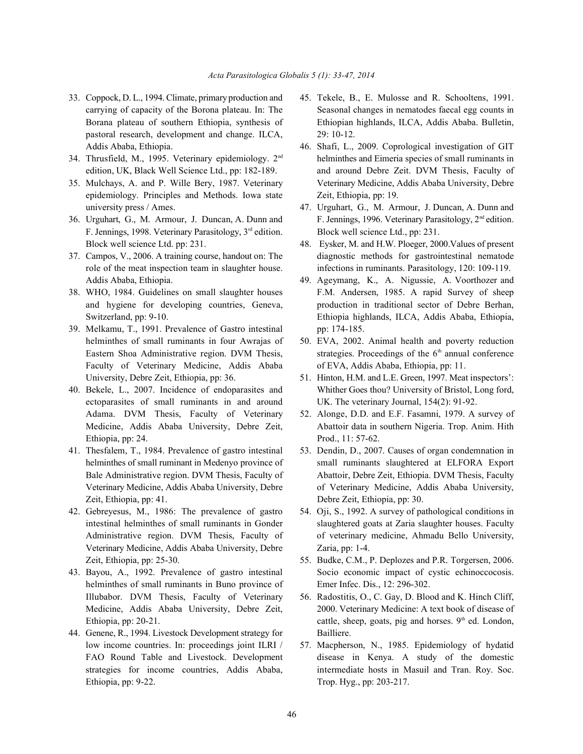- pastoral research, development and change. ILCA, 29: 10-12. Addis Ababa, Ethiopia. 46. Shafi, L., 2009. Coprological investigation of GIT
- 
- epidemiology. Principles and Methods. Iowa state Zeit, Ethiopia, pp: 19. university press / Ames. 47. Urguhart, G., M. Armour, J. Duncan, A. Dunn and
- 36. Urguhart, G., M. Armour, J. Duncan, A. Dunn and F. Jennings, 1998. Veterinary Parasitology,  $3<sup>rd</sup>$  edition. Block well science Ltd., pp: 231. Block well science Ltd. pp: 231. 48. Eysker, M. and H.W. Ploeger, 2000.Values of present
- Addis Ababa, Ethiopia. 49. Ageymang, K., A. Nigussie, A. Voorthozer and
- 
- 39. Melkamu, T., 1991. Prevalence of Gastro intestinal pp: 174-185. helminthes of small ruminants in four Awrajas of 50. EVA, 2002. Animal health and poverty reduction Faculty of Veterinary Medicine, Addis Ababa of EVA, Addis Ababa, Ethiopia, pp: 11. University, Debre Zeit, Ethiopia, pp: 36. 51. Hinton, H.M. and L.E. Green, 1997. Meat inspectors':
- ectoparasites of small ruminants in and around UK. The veterinary Journal, 154(2): 91-92. Adama. DVM Thesis, Faculty of Veterinary 52. Alonge, D.D. and E.F. Fasamni, 1979. A survey of Ethiopia, pp: 24. Prod., 11: 57-62.
- 41. Thesfalem, T., 1984. Prevalence of gastro intestinal 53. Dendin, D., 2007. Causes of organ condemnation in Zeit, Ethiopia, pp: 41. Debre Zeit, Ethiopia, pp: 30.
- Veterinary Medicine, Addis Ababa University, Debre Zaria, pp: 1-4. Zeit, Ethiopia, pp: 25-30. 55. Budke, C.M., P. Deplozes and P.R. Torgersen, 2006.
- helminthes of small ruminants in Buno province of Emer Infec. Dis., 12: 296-302. Illubabor. DVM Thesis, Faculty of Veterinary 56. Radostitis, O., C. Gay, D. Blood and K. Hinch Cliff,
- 44. Genene, R., 1994. Livestock Development strategy for Bailliere. low income countries. In: proceedings joint ILRI / 57. Macpherson, N., 1985. Epidemiology of hydatid Ethiopia, pp: 9-22. Trop. Hyg., pp: 203-217.
- 33. Coppock, D. L., 1994. Climate, primary production and 45. Tekele, B., E. Mulosse and R. Schooltens, 1991. carrying of capacity of the Borona plateau. In: The Seasonal changes in nematodes faecal egg counts in Borana plateau of southern Ethiopia, synthesis of Ethiopian highlands, ILCA, Addis Ababa. Bulletin,
- 34. Thrusfield, M., 1995. Veterinary epidemiology. 2<sup>nd</sup> helminthes and Eimeria species of small ruminants in edition, UK, Black Well Science Ltd., pp: 182-189. and around Debre Zeit. DVM Thesis, Faculty of 35. Mulchays, A. and P. Wille Bery, 1987. Veterinary Veterinary Medicine, Addis Ababa University, Debre
	- F. Jennings, 1996. Veterinary Parasitology, 2<sup>nd</sup> edition.
- 37. Campos, V., 2006. A training course, handout on: The diagnostic methods for gastrointestinal nematode role of the meat inspection team in slaughter house. infections in ruminants. Parasitology, 120: 109-119.
- 38. WHO, 1984. Guidelines on small slaughter houses F.M. Andersen, 1985. A rapid Survey of sheep and hygiene for developing countries, Geneva, production in traditional sector of Debre Berhan, Switzerland, pp: 9-10. Ethiopia highlands, ILCA, Addis Ababa, Ethiopia,
	- Eastern Shoa Administrative region. DVM Thesis, strategies. Proceedings of the 6<sup>th</sup> annual conference
- 40. Bekele, L., 2007. Incidence of endoparasites and Whither Goes thou? University of Bristol, Long ford,
	- Medicine, Addis Ababa University, Debre Zeit, Abattoir data in southern Nigeria. Trop. Anim. Hith
	- helminthes of small ruminant in Medenyo province of small ruminants slaughtered at ELFORA Export Bale Administrative region. DVM Thesis, Faculty of Abattoir, Debre Zeit, Ethiopia. DVM Thesis, Faculty Veterinary Medicine, Addis Ababa University, Debre of Veterinary Medicine, Addis Ababa University,
- 42. Gebreyesus, M., 1986: The prevalence of gastro 54. Oji, S., 1992. A survey of pathological conditions in intestinal helminthes of small ruminants in Gonder slaughtered goats at Zaria slaughter houses. Faculty Administrative region. DVM Thesis, Faculty of of veterinary medicine, Ahmadu Bello University,
- 43. Bayou, A., 1992. Prevalence of gastro intestinal Socio economic impact of cystic echinoccocosis.
	- Medicine, Addis Ababa University, Debre Zeit, 2000. Veterinary Medicine: A text book of disease of Ethiopia, pp: 20-21. Cattle, sheep, goats, pig and horses. 9<sup>th</sup> ed. London,
	- FAO Round Table and Livestock. Development disease in Kenya. A study of the domestic strategies for income countries, Addis Ababa, intermediate hosts in Masuil and Tran. Roy. Soc.